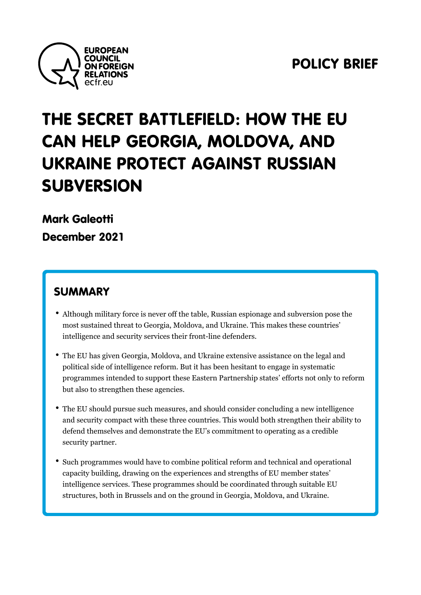

[POLICY](https://ecfr.eu/?taxonomy=publication_format&term=policy-brief) BRI

# THE SECRET BATTLEFIELD: H CAN HELP GEORGIA, MOLDOV UKRAINE PROTECT AGAINST SUBVERSION

[Mark Gal](https://ecfr.eu/profile/mark_galeotti/)eotti December 2021

### SUMMARY

- Although military force is never off the table, Russian espionage an most sustained threat to Georgia, Moldova, and Ukraine. This make intelligence and security services their front-line defenders.
- The EU has given Georgia, Moldova, and Ukraine extensive assistal political side of intelligence reform. But it has been hesitant to eng programmes intended to support these Eastern Partnership states but also to strengthen these agencies.
- The EU should pursue such measures, and should consider concludi and security compact with these three countries. This would both st defend themselves and demonstrate the EU s commitment to operati security partner.
- Such programmes would have to combine political reform and techn capacity building, drawing on the experiences and strengths of EU intelligence services. These programmes should be coordinated thre structures, both in Brussels and on the ground in Georgia, Moldova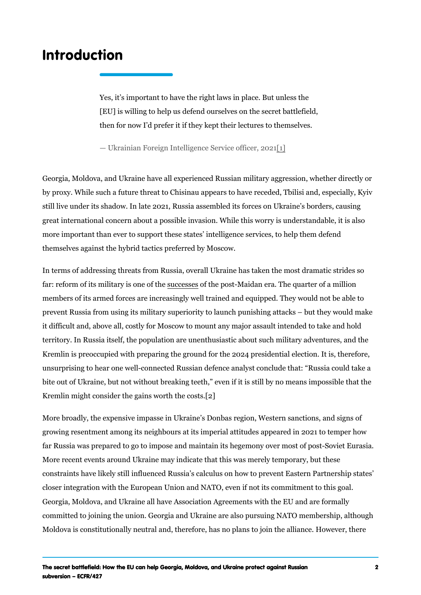### <span id="page-1-0"></span>Introduction

Yes, it s important to have the right laws in place. But unles [EU] is willing to help us defend ourselves on the secret bat then for now I d prefer it if they kept their lectures to thems

Ukrainian Foreign Intelligence S[dr]vice officer, 2021

Georgia, Moldova, and Ukraine have all experienced Russian military a by proxy. While such a future threat to Chisinau appears to have reced still live under its shadow. In late 2021, Russia assembled its forces o great international concern about a possible invasion. While this worry more important than ever to support these states intelligence services themselves against the hybrid tactics preferred by Moscow.

In terms of addressing threats from Russia, overall Ukraine has taken t far: reform of its militarsyuics cosmose so thie theorst-Maidan era. The quarter of a members of its armed forces are increasingly well trained and equipped prevent Russia from using its military superiority to launch punishing a it difficult and, above all, costly for Moscow to mount any major assaul territory. In Russia itself, the population are unenthusiastic about such Kremlin is preoccupied with preparing the ground for the 2024 presidential unsurprising to hear one well-connected Russian defence analyst concl bite out of Ukraine, but not without breaking teeth, even if it is still b  $K$ remlin might co[ns](#page-14-0)ider the gai $[\![\mathbf{\hat{z}}]\!]$  worth the costs.

More broadly, the expensive impasse in Ukraine s Donbas region, West growing resentment among its neighbours at its imperial attitudes appe far Russia was prepared to go to impose and maintain its hegemony ove More recent events around Ukraine may indicate that this was merely to constraints have likely still influenced Russia s calculus on how to pre closer integration with the European Union and NATO, even if not its  $c<sub>0</sub>$ Georgia, Moldova, and Ukraine all have Association Agreements with th committed to joining the union. Georgia and Ukraine are also pursuing Moldova is constitutionally neutral and, therefore, has no plans to join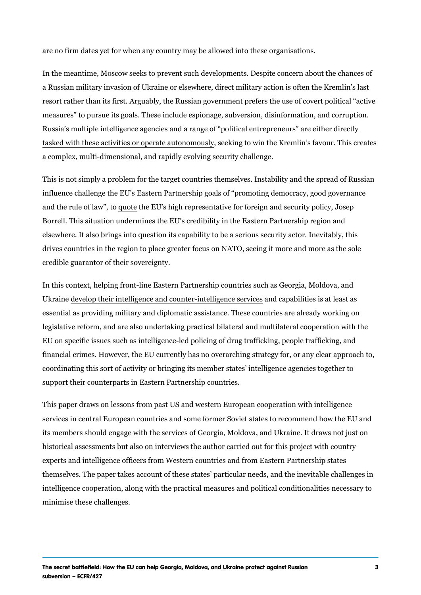are no firm dates yet for when any country may be allowed into these organisations.

In the meantime, Moscow seeks to prevent such developments. Despite a Russian military invasion of Ukraine or elsewhere, direct military act resort rather than its first. Arguably, the Russian government prefers t measures to pursue its goals. These include espionage, subversion, di Russian us tiple intelligencaen adgaem caine open of political enetintely are entered ieruencstly a re [tasked with these activities or o](https://ecfr.eu/publication/controlling_chaos_how_russia_manages_its_political_war_in_europe/)pesmeat beinage to comminout bley Kremlin s favour. a complex, multi-dimensional, and rapidly evolving security challenge.

This is not simply a problem for the target countries themselves. Instal influence challenge the EU s Eastern Partnership goals of promoting d and the rule of qua when et of  $U$  s high representative for foreign and security Borrell. This situation undermines the EU s credibility in the Eastern P elsewhere. It also brings into question its capability to be a serious se drives countries in the region to place greater focus on NATO, seeing i credible guarantor of their sovereignty.

In this context, helping front-line Eastern Partnership countries such a Ukrainde velop their intelligence and counteaninhites alpig binictei esse is iate sleast a essential as providing military and diplomatic assistance. These countr legislative reform, and are also undertaking practical bilateral and mul EU on specific issues such as intelligence-led policing of drug trafficki financial crimes. However, the EU currently has no overarching strateg coordinating this sort of activity or bringing its member states intellig support their counterparts in Eastern Partnership countries.

This paper draws on lessons from past US and western European coope services in central European countries and some former Soviet states t its members should engage with the services of Georgia, Moldova, and historical assessments but also on interviews the author carried out fo experts and intelligence officers from Western countries and from East themselves. The paper takes account of these states particular needs, intelligence cooperation, along with the practical measures and political minimise these challenges.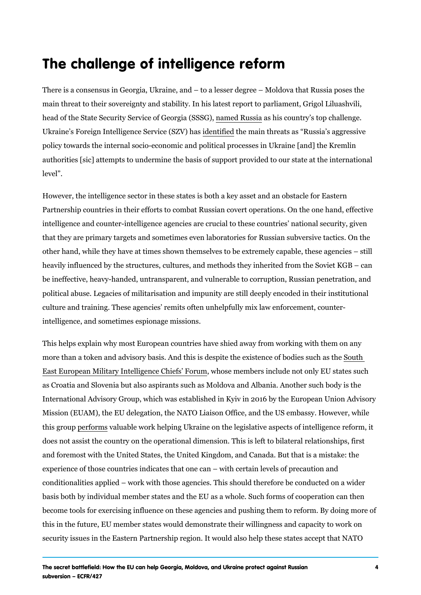# The challenge of intelligence refor

There is a consensus in Georgia, Ukraine, and to a lesser degree M main threat to their sovereignty and stability. In his latest report to pa head of the State Security Servicrea on fe & GRoungsiab (SSS6Gn) try s top challeng Ukraine s Foreign Intelligence i Ssem viifoitende Sn ZaVi)n htanse ats as Russia s aggr policy towards the internal socio-economic and political processes in U authorities [sic] attempts to undermine the basis of support provided to level .

However, the intelligence sector in these states is both a key asset an Partnership countries in their efforts to combat Russian covert operations. intelligence and counter-intelligence agencies are crucial to these count that they are primary targets and sometimes even laboratories for Russ other hand, while they have at times shown themselves to be extremely heavily influenced by the structures, cultures, and methods they inheri be ineffective, heavy-handed, untransparent, and vulnerable to corrupt political abuse. Legacies of militarisation and impunity are still deeply culture and training. These agencies remits often unhelpfully mix law intelligence, and sometimes espionage missions.

This helps explain why most European countries have shied away from more than a token and advisory basis. And this is despite buthexistence [East European Military Intellige](https://www.rcc.int/news/99/south-east-european-military-intelligence-chiefs-meet-in-sofia)nwho Gheienferm Forum molude not only EU st as Croatia and Slovenia but also aspirants such as Moldova and Albani International Advisory Group, which was established in Kyiv in 2016 by Mission (EUAM), the EU delegation, the NATO Liaison Office, and the L this groupformaluable work helping Ukraine on the legislative aspects of does not assist the country on the operational dimension. This is left t and foremost with the United States, the United Kingdom, and Canada. experience of those countries indicates that one can with certain leve conditionalities applied work with those agencies. This should therefore basis both by individual member states and the EU as a whole. Such fo become tools for exercising influence on these agencies and pushing them this in the future, EU member states would demonstrate their willingnes security issues in the Eastern Partnership region. It would also help th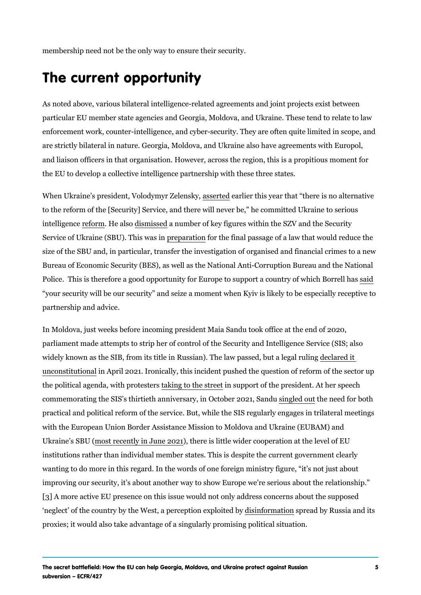<span id="page-4-0"></span>membership need not be the only way to ensure their security.

# The current opportunity

As noted above, various bilateral intelligence-related agreements and j particular EU member state agencies and Georgia, Moldova, and Ukrain enforcement work, counter-intelligence, and cyber-security. They are o are strictly bilateral in nature. Georgia, Moldova, and Ukraine also hav and liaison officers in that organisation. However, across the region, t the EU to develop a collective intelligence partnership with these three

When Ukraine s president, Vol**adsemyte aldelinem ski**ys, year that there is no a to the reform of the [Security] Service, and there will never be, he commit intelligene toen. mHe ad ssom is sæd umber of key figures within the SZV and the Service of Ukraine (SBUp). ephars the stheat final passage of a law that would size of the SBU and, in particular, transfer the investigation of organis Bureau of Economic Security (BES), as well as the National Anti-Corruption Police. This is therefore a good opportunity for Europe to [sa](https://www.euronews.com/2020/10/06/eu-and-ukraine-pledge-to-deepen-relations-call-on-russia-to-respect-peace-deal)uppipolort a co your security will be our security and seize a moment when Kyiv is lik partnership and advice.

In Moldova, just weeks before incoming president Maia Sandu took offic parliament made attempts to strip her of control of the Security and Int widely known as the SIB, from its title in Russian). The ecllear we objatssed, but [unconstitu](https://www.moldpres.md/en/news/2021/04/27/21003118)tion Appril 2021. Ironically, this incident pushed the question of the political agenda, with thip gote stite et is apport of the president. At her s commemorating the SIS s thirtieth anniversarsyin  $\phi$  the  $\theta$  d choeber 2020  $\mathbf{20}$  f  $\mathbf{S}$  and  $\mathbf{u}$ practical and political reform of the service. But, while the SIS regular with the European Union Border Assistance Mission to Moldova and Ukr Ukraine s  $\bf{r6Bst}$  (recently in ), uthee 2 $\bf{0.2s}$  little wider cooperation at the level institutions rather than individual member states. This is despite the c wanting to do more in this regard. In the words of one foreign ministry improving our security, it s about another way to show Europe we re se [\[3](#page-14-0)] A more active EU presence on this issue would not only address cone neglect of the country by the West, adipseinofepminianampomentanapolobity enRubsysia and i proxies; it would also take advantage of a singularly promising politica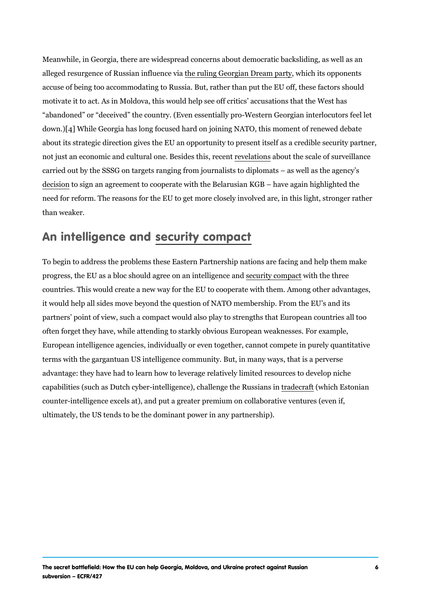<span id="page-5-0"></span>Meanwhile, in Georgia, there are widespread concerns about democrati alleged resurgence of Russtibaen intillagen Geoviga an Dream alpharty opponents accuse of being too accommodating to Russia. But, rather than put the motivate it to act. As in Moldova, this would help see off critics accus abandoned or deceived the country. (Even essentially pro-Western G down[4]]While Georgia has long focused hard on joining NATO, this mome about its strategic direction gives the EU an opportunity to present its not just an economic and cultural onee vBe estidenes unitsheres cant of surveilla carried out by the SSSG on targets ranging from journalists to diplomation [decis](https://emerging-europe.com/news/whats-behind-georgias-deal-with-the-belarusian-kgb/)iton sign an agreement to cooperate with the Belarusian KGB have need for reform. The reasons for the EU to get more closely involved a than weaker.

### An intelligensceecunidy compact

To begin to address the problems these Eastern Partnership nations ar progress, the EU as a bloc should agresee counriaty crotine phange ethane determinedent comparation of  $\mathbf{u}$ countries. This would create a new way for the EU to cooperate with th it would help all sides move beyond the question of NATO membership. partners point of view, such a compact would also play to strengths th often forget they have, while attending to starkly obvious European weak European intelligence agencies, individually or even together, cannot c terms with the gargantuan US intelligence community. But, in many way advantage: they have had to learn how to leverage relatively limited re capabilities (such as Dutch cyber-intelligence), a ocharlange the BetoRnuissanians counter-intelligence excels at), and put a greater premium on collabora ultimately, the US tends to be the dominant power in any partnership).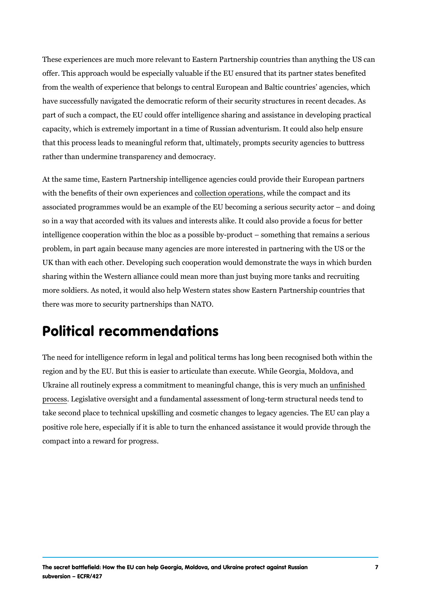These experiences are much more relevant to Eastern Partnership coun offer. This approach would be especially valuable if the EU ensured that from the wealth of experience that belongs to central European and Bal have successfully navigated the democratic reform of their security str part of such a compact, the EU could offer intelligence sharing and ass capacity, which is extremely important in a time of Russian adventurisr that this process leads to meaningful reform that, ultimately, prompts s rather than undermine transparency and democracy.

At the same time, Eastern Partnership intelligence agencies could prov with the benefits of their own experiment compose and the compact and its associated programmes would be an example of the EU becoming a seri so in a way that accorded with its values and interests alike. It could a intelligence cooperation within the bloc as a possible by-product som problem, in part again because many agencies are more interested in p UK than with each other. Developing such cooperation would demonstra sharing within the Western alliance could mean more than just buying n more soldiers. As noted, it would also help Western states show Easter there was more to security partnerships than NATO.

### Political recommendations

The need for intelligence reform in legal and political terms has long b region and by the EU. But this is easier to articulate than execute. While Ukraine all routinely express a commitment to meaninguluation had megde, this [proc](http://gov.ge/files/41_79014_435561_govprogram.PDF)essegislative oversight and a fundamental assessment of long-term take second place to technical upskilling and cosmetic changes to lega positive role here, especially if it is able to turn the enhanced assistar compact into a reward for progress.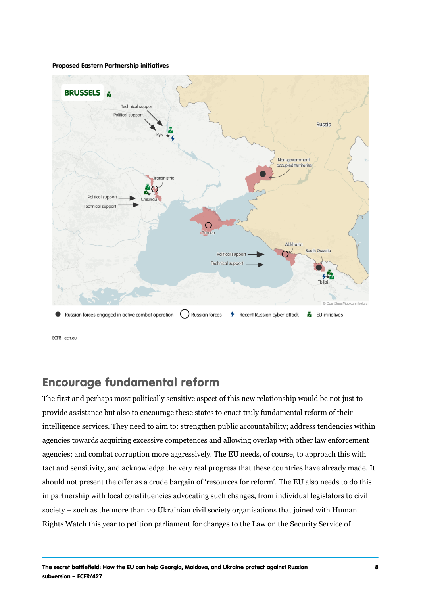#### Encourage fundamental reform

The first and perhaps most politically sensitive aspect of this new rela provide assistance but also to encourage these states to enact truly fu intelligence services. They need to aim to: strengthen public accountab agencies towards acquiring excessive competences and allowing overla agencies; and combat corruption more aggressively. The EU needs, of  $\alpha$ tact and sensitivity, and acknowledge the very real progress that these should not present the offer as a crude bargain of resources for reforr in partnership with local constituencies advocating such changes, from society suchmas eth hean 20 Ukrainian civil soctine aty joorignaendi swaittihon Hsuman Rights Watch this year to petition parliament for changes to the Law or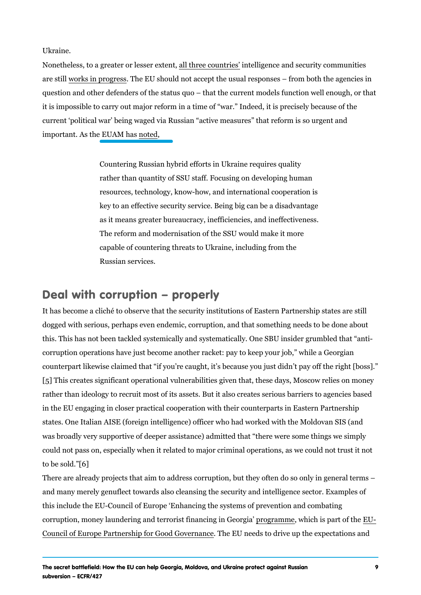<span id="page-8-0"></span>Ukraine.

Nonetheless, to a greater add tesser continethed bisgence and security communities in the security communities are swiolrks in pro $\bar{g}$  the essect U should not accept the usual responses from question and other defenders of the status quo that the current model it is impossible to carry out major reform in a time of war. Indeed, it current political war being waged via Russian active measures that important. As the **EbteM** has

> Countering Russian hybrid efforts in Ukraine requires qualit rather than quantity of SSU staff. Focusing on developing human resources, technology, know-how, and international cooperation key to an effective security service. Being big can be a disa as it means greater bureaucracy, inefficiencies, and ineffect The reform and modernisation of the SSU would make it more capable of countering threats to Ukraine, including from the Russian services.

### Deal with corruption properly

It has become a cliché to observe that the security institutions of East dogged with serious, perhaps even endemic, corruption, and that somet this. This has not been tackled systemically and systematically. One SI corruption operations have just become another racket: pay to keep you counterpart likewise claimed that if you re caught, it s because you ju [\[5](#page-14-0)]This creates significant operational vulnerabilities given that, these rather than ideology to recruit most of its assets. But it also creates s in the EU engaging in closer practical cooperation with their counterpa states. One Italian AISE (foreign intelligence) officer who had worked v was broadly very supportive of deeper assistance) admitted that there could not pass on, especially when it related to major criminal operations, and to be  $\frac{1}{9}$ .

There are already projects that aim to address corruption, but they often and many merely genuflect towards also cleansing the security and inte this include the EU-Council of Europe Enhancing the systems of preve corruption, money laundering and terrori**ps t**ofginaamm, criveding icilm iGsepoart filde fithe [Council of Europe Partnership fo](https://www.coe.int/en/web/congress/european-union-council-of-europe-partnership-for-good-governance)r TGhoeo ELLG on we endres a hoc editive up the expectations and  $\sim$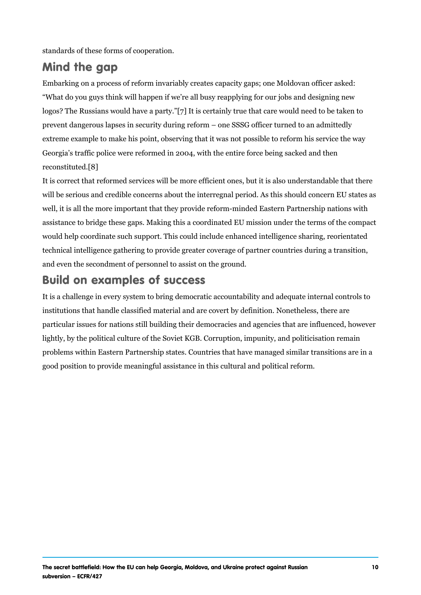<span id="page-9-0"></span>standards of these forms of cooperation.

#### Mind the gap

Embarking on a process of reform invariably creates capacity gaps; one What do you guys think will happen if we re all busy reapplying for our logos? The Russians would have a eptarityly true that care would need to prevent dangerous lapses in security during reform one SSSG officer extreme example to make his point, observing that it was not possible to Georgia s traffic police were reformed in 2004, with the entire force be reconstit[u8t]ed.

It is correct that reformed services will be more efficient ones, but it i will be serious and credible concerns about the interregnal period. As well, it is all the more important that they provide reform-minded Easte assistance to bridge these gaps. Making this a coordinated EU mission would help coordinate such support. This could include enhanced intell technical intelligence gathering to provide greater coverage of partner and even the secondment of personnel to assist on the ground.

#### Build on examples of success

It is a challenge in every system to bring democratic accountability and institutions that handle classified material and are covert by definition particular issues for nations still building their democracies and agenc lightly, by the political culture of the Soviet KGB. Corruption, impunity problems within Eastern Partnership states. Countries that have manag good position to provide meaningful assistance in this cultural and poli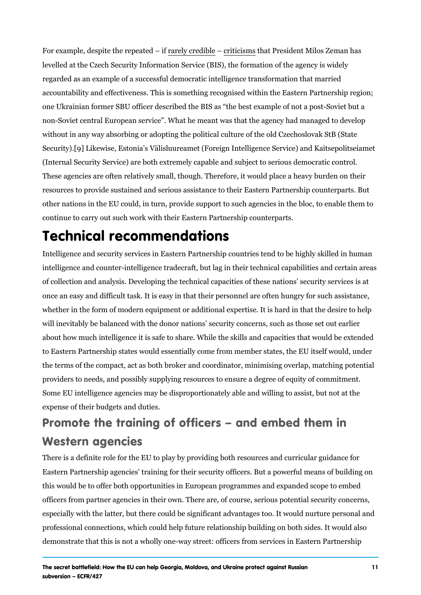<span id="page-10-0"></span>For example, despite the are by a treed dobilt is cist that President Milos Zeman ha levelled at the Czech Security Information Service (BIS), the formation regarded as an example of a successful democratic intelligence transfo accountability and effectiveness. This is something recognised within t one Ukrainian former SBU officer described the BIS as the best examp non-Soviet central European service. What he meant was that the ager without in any way absorbing or adopting the political culture of the old Securi[t9)]Likewise, Estonia s Välisluureamet (Foreign Intelligence Servi (Internal Security Service) are both extremely capable and subject to s These agencies are often relatively small, though. Therefore, it would resources to provide sustained and serious assistance to their Eastern other nations in the EU could, in turn, provide support to such agencie continue to carry out such work with their Eastern Partnership counterp

### Technical recommendations

Intelligence and security services in Eastern Partnership countries ten intelligence and counter-intelligence tradecraft, but lag in their technic of collection and analysis. Developing the technical capacities of these once an easy and difficult task. It is easy in that their personnel are o whether in the form of modern equipment or additional expertise. It is  $\overline{\phantom{a}}$ will inevitably be balanced with the donor nations security concerns, s about how much intelligence it is safe to share. While the skills and ca to Eastern Partnership states would essentially come from member stat the terms of the compact, act as both broker and coordinator, minimisin providers to needs, and possibly supplying resources to ensure a degre Some EU intelligence agencies may be disproportionately able and will expense of their budgets and duties.

Promote the training of officers and emb Western agencies

There is a definite role for the EU to play by providing both resources Eastern Partnership agencies training for their security officers. But a this would be to offer both opportunities in European programmes and  $\epsilon$ officers from partner agencies in their own. There are, of course, serio especially with the latter, but there could be significant advantages to professional connections, which could help future relationship building demonstrate that this is not a wholly one-way street: officers from serv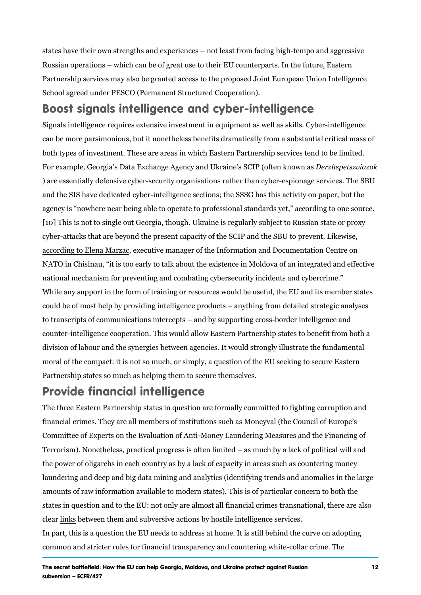<span id="page-11-0"></span>states have their own strengths and experiences not least from facing Russian operations which can be of great use to their EU counterpart Partnership services may also be granted access to the proposed Joint School agree [PESC](https://pesco.europa.eu/)O Permanent Structured Cooperation).

Boost signals intelligence and cyber-intel Signals intelligence requires extensive investment in equipment as wel can be more parsimonious, but it nonetheless benefits dramatically from both types of investment. These are areas in which Eastern Partnership For example, Georgia s Data Exchange Agency and Derahnsep st SzOvlikaz (ookft ) are essentially defensive cyber-security organisations rather than cyl and the SIS have dedicated cyber-intelligence sections; the SSSG has agency is nowhere near being able to operate to professional standard [\[10](#page-14-0)] This is not to single out Georgia, though. Ukraine is regularly subje cyber-attacks that are beyond the present capacity of the SCIP and the [according to Ele](https://balkaninsight.com/2020/10/28/concern-over-moldova-cyber-security-as-election-looms/)næ Wexanzta ve manager of the Information and Documentation NATO in Chisinau, it is too early to talk about the existence in Moldov national mechanism for preventing and combating cybersecurity inciden While any support in the form of training or resources would be useful, could be of most help by providing intelligence products anything from to transcripts of communications intercepts and by supporting cross-b counter-intelligence cooperation. This would allow Eastern Partnership division of labour and the synergies between agencies. It would strong moral of the compact: it is not so much, or simply, a question of the El Partnership states so much as helping them to secure themselves.

### Provide financial intelligence

The three Eastern Partnership states in question are formally committe financial crimes. They are all members of institutions such as Moneyva Committee of Experts on the Evaluation of Anti-Money Laundering Meas Terrorism). Nonetheless, practical progress is often limited as much b the power of oligarchs in each country as by a lack of capacity in areas laundering and deep and big data mining and analytics (identifying tren amounts of raw information available to modern states). This is of part states in question and to the EU: not only are almost all financial crim clearnks between them and subversive actions by hostile intelligence ser In part, this is a question the EU needs to address at home. It is still be common and stricter rules for financial transparency and countering wh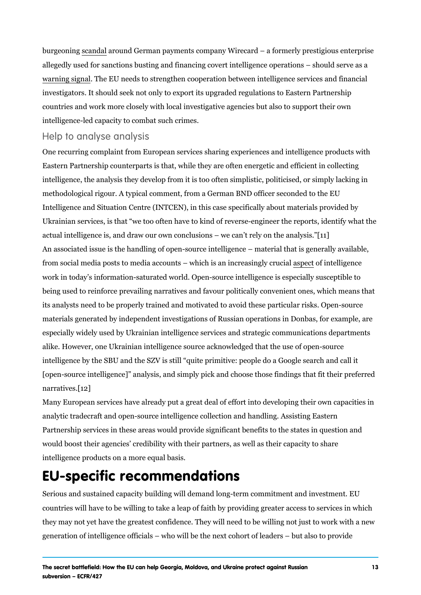<span id="page-12-0"></span>burgeonsing nd and ound German payments company Wirecard a formerly p allegedly used for sanctions busting and financing covert intelligence o [warning s](https://www.themoscowtimes.com/2020/07/20/worlds-most-wanted-man-under-russian-intelligence-protection-reports-a70928)igTrhael EU needs to strengthen cooperation between intelligence investigators. It should seek not only to export its upgraded regulation countries and work more closely with local investigative agencies but a intelligence-led capacity to combat such crimes.

#### Help to analyse analysis

One recurring complaint from European services sharing experiences and intelligence products with  $\alpha$ Eastern Partnership counterparts is that, while they are often energetic intelligence, the analysis they develop from it is too often simplistic, p methodological rigour. A typical comment, from a German BND officer s Intelligence and Situation Centre (INTCEN), in this case specifically about Ukrainian services, is that we too often have to kind of reverse-engine actual intelligence is, and draw our own conclusions 11 we can t rely on An associated issue is the handling of open-source intelligence mater from social media posts to media accounts whiacshore of anniel bling assingly cr work in today s information-saturated world. Open-source intelligence i being used to reinforce prevailing narratives and favour politically con its analysts need to be properly trained and motivated to avoid these p materials generated by independent investigations of Russian operation especially widely used by Ukrainian intelligence services and strategic alike. However, one Ukrainian intelligence source acknowledged that the intelligence by the SBU and the SZV is still quite primitive: people do [open-source intelligence] analysis, and simply pick and choose those  $narratiV2$ 

Many European services have already put a great deal of effort into de analytic tradecraft and open-source intelligence collection and handlin Partnership services in these areas would provide significant benefits would boost their agencies credibility with their partners, as well as t intelligence products on a more equal basis.

### EU-specific recommendations

Serious and sustained capacity building will demand long-term commitm countries will have to be willing to take a leap of faith by providing gre they may not yet have the greatest confidence. They will need to be wi generation of intelligence officials who will be the next cohort of lead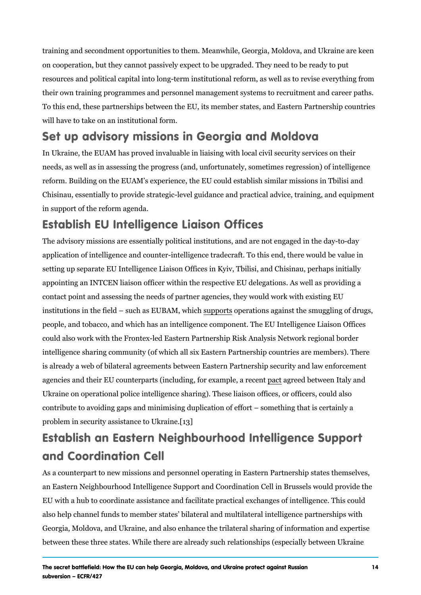<span id="page-13-0"></span>training and secondment opportunities to them. Meanwhile, Georgia, Mo on cooperation, but they cannot passively expect to be upgraded. They resources and political capital into long-term institutional reform, as w their own training programmes and personnel management systems to re To this end, these partnerships between the EU, its member states, and will have to take on an institutional form.

Set up advisory missions in Georgia and I In Ukraine, the EUAM has proved invaluable in liaising with local civil needs, as well as in assessing the progress (and, unfortunately, somet reform. Building on the EUAM s experience, the EU could establish sim Chisinau, essentially to provide strategic-level guidance and practical in support of the reform agenda.

Establish EU Intelligence Liaison Offices The advisory missions are essentially political institutions, and are not application of intelligence and counter-intelligence tradecraft. To this setting up separate EU Intelligence Liaison Offices in Kyiv, Tbilisi, and appointing an INTCEN liaison officer within the respective EU delegations. contact point and assessing the needs of partner agencies, they would institutions in the field such sausp  $E$  which  $A$  and  $A$  and  $A$  against the smuggling of drugs, i.e.,  $\alpha$ people, and tobacco, and which has an intelligence component. The EU could also work with the Frontex-led Eastern Partnership Risk Analysis intelligence sharing community (of which all six Eastern Partnership co is already a web of bilateral agreements between Eastern Partnership s agencies and their EU counter[pa](https://mvs.gov.ua/uk/press-center/news/ukrayina-ta-italiya-pidpisali-mizuryadovu-ugodu-pro-policeiske-spivrobitnictvo-i-nezabarom-podovzat-ugodu-pro-viznannya-ta-obmin-posvidcen-vodiya?fbclid=IwAR24e9ut_26IhzbXx8nU3vbdaEBV62fcKPFuwViVvh3ph0HTp-gnnIcmZRw)rts (includpi**agagoe example en Intead penant** de Ukraine on operational police intelligence sharing). These liaison offic contribute to avoiding gaps and minimising duplication of effort some problem in security assistance to Ukraine.

# Establish an Eastern Neighbourhood Intel and Coordination Cell

As a counterpart to new missions and personnel operating in Eastern P an Eastern Neighbourhood Intelligence Support and Coordination Cell i EU with a hub to coordinate assistance and facilitate practical exchang also help channel funds to member states bilateral and multilateral int Georgia, Moldova, and Ukraine, and also enhance the trilateral sharing between these three states. While there are already such relationships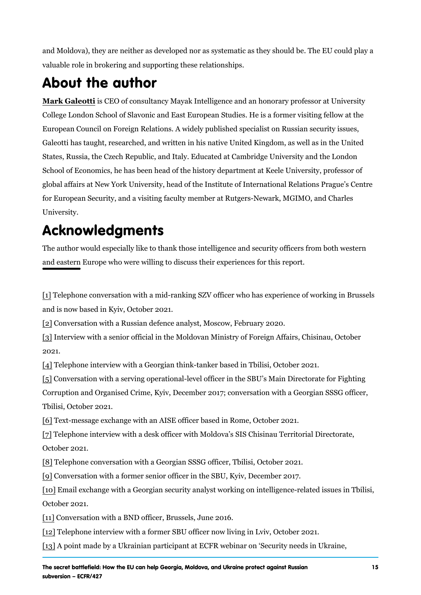<span id="page-14-0"></span>and Moldova), they are neither as developed nor as systematic as they valuable role in brokering and supporting these relationships.

### About the author

[Mark Gale](https://ecfr.eu/profile/mark_galeotti/)oitsti CEO of consultancy Mayak Intelligence and an honorary p College London School of Slavonic and East European Studies. He is a European Council on Foreign Relations. A widely published specialist o Galeotti has taught, researched, and written in his native United Kingd States, Russia, the Czech Republic, and Italy. Educated at Cambridge School of Economics, he has been head of the history department at Ke global affairs at New York University, head of the Institute of Internati for European Security, and a visiting faculty member at Rutgers-Newark University.

# Acknowledgments

The author would especially like to thank those intelligence and securi and eastern Europe who were willing to discuss their experiences for the

[1] Telephone conversation with a mid-ranking SZV officer who has expe and is now based in Kyiv, October 2021.

[\[2](#page-1-0)] Conversation with a Russian defence analyst, Moscow, February 202 [\[3](#page-4-0)] Interview with a senior official in the Moldovan Ministry of Foreign A 2021.

[\[4](#page-5-0)] Telephone interview with a Georgian think-tanker based in Tbilisi, O [\[5](#page-8-0)] Conversation with a serving operational-level officer in the SBU s M Corruption and Organised Crime, Kyiv, December 2017; conversation with any Tbilisi, October 2021.

[\[6](#page-8-0)] Text-message exchange with an AISE officer based in Rome, October [\[7](#page-9-0)] Telephone interview with a desk officer with Moldova s SIS Chisinau October 2021.

[\[8](#page-9-0)] Telephone conversation with a Georgian SSSG officer, Tbilisi, Octob [\[9](#page-10-0)] Conversation with a former senior officer in the SBU, Kyiv, Decembe [\[10](#page-11-0)] Email exchange with a Georgian security analyst working on intellig October 2021.

[\[1](#page-12-0)1] Conversation with a BND officer, Brussels, June 2016.

[\[12](#page-12-0)] Telephone interview with a former SBU officer now living in Lviv, October 2021 [\[13](#page-13-0)] point made by a Ukrainian participant at ECFR webinar on Securi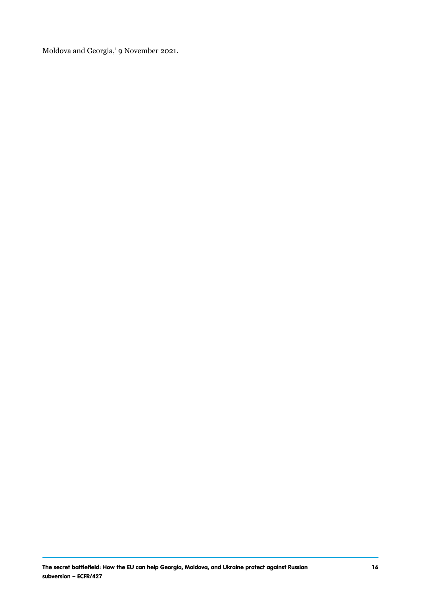Moldova and Georgia,' 9 November 2021.